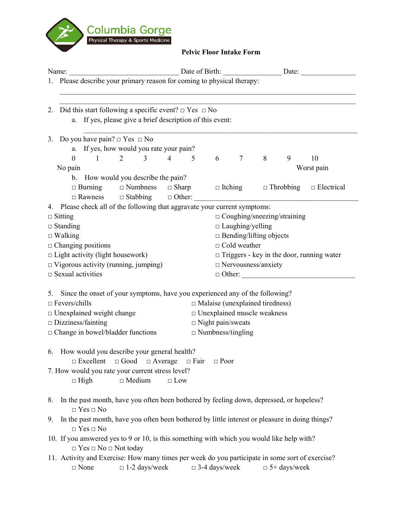

## Pelvic Floor Intake Form

| Date of Birth: Date of Birth: Date: Date:<br>Name:                                                                                     |                                                      |                                        |                 |   |                     |            |
|----------------------------------------------------------------------------------------------------------------------------------------|------------------------------------------------------|----------------------------------------|-----------------|---|---------------------|------------|
| 1. Please describe your primary reason for coming to physical therapy:                                                                 |                                                      |                                        |                 |   |                     |            |
| 2. Did this start following a specific event? $\Box$ Yes $\Box$ No<br>a. If yes, please give a brief description of this event:        |                                                      |                                        |                 |   |                     |            |
| 3. Do you have pain? $\Box$ Yes $\Box$ No                                                                                              |                                                      |                                        |                 |   |                     |            |
| a. If yes, how would you rate your pain?                                                                                               |                                                      |                                        |                 |   |                     |            |
| $2 \qquad \qquad 3$<br>$\mathbf{0}$<br>$\sim$ 1 $\sim$ 1                                                                               | $\overline{4}$<br>5                                  | 6                                      | $7\phantom{.0}$ | 8 | 9                   | 10         |
| No pain                                                                                                                                |                                                      |                                        |                 |   |                     | Worst pain |
| b. How would you describe the pain?                                                                                                    |                                                      |                                        |                 |   |                     |            |
| $\Box$ Burning $\Box$ Numbness $\Box$ Sharp $\Box$ Itching $\Box$ Throbbing $\Box$ Electrical                                          |                                                      |                                        |                 |   |                     |            |
| 4. Please check all of the following that aggravate your current symptoms:                                                             |                                                      |                                        |                 |   |                     |            |
| $\Box$ Sitting                                                                                                                         | $\Box$ Coughing/sneezing/straining                   |                                        |                 |   |                     |            |
| $\Box$ Standing                                                                                                                        | $\Box$ Laughing/yelling                              |                                        |                 |   |                     |            |
| $\Box$ Walking                                                                                                                         |                                                      | $\Box$ Bending/lifting objects         |                 |   |                     |            |
| $\Box$ Changing positions                                                                                                              | $\Box$ Cold weather                                  |                                        |                 |   |                     |            |
| $\Box$ Light activity (light housework)<br>$\Box$ Triggers - key in the door, running water                                            |                                                      |                                        |                 |   |                     |            |
| $\Box$ Vigorous activity (running, jumping)<br>□ Nervousness/anxiety                                                                   |                                                      |                                        |                 |   |                     |            |
| $\square$ Sexual activities                                                                                                            |                                                      |                                        |                 |   | $\Box$ Other:       |            |
| 5. Since the onset of your symptoms, have you experienced any of the following?                                                        |                                                      |                                        |                 |   |                     |            |
| $\Box$ Fevers/chills                                                                                                                   |                                                      | $\Box$ Malaise (unexplained tiredness) |                 |   |                     |            |
| $\Box$ Unexplained weight change                                                                                                       |                                                      | □ Unexplained muscle weakness          |                 |   |                     |            |
| $\square$ Dizziness/fainting                                                                                                           |                                                      |                                        |                 |   |                     |            |
| $\Box$ Change in bowel/bladder functions                                                                                               | $\Box$ Night pain/sweats<br>$\Box$ Numbness/tingling |                                        |                 |   |                     |            |
|                                                                                                                                        |                                                      |                                        |                 |   |                     |            |
| 6. How would you describe your general health?                                                                                         |                                                      |                                        |                 |   |                     |            |
| $\Box$ Excellent $\Box$ Good $\Box$ Average $\Box$ Fair $\Box$ Poor                                                                    |                                                      |                                        |                 |   |                     |            |
| 7. How would you rate your current stress level?                                                                                       |                                                      |                                        |                 |   |                     |            |
| $\Box$ Medium<br>$\Box$ High                                                                                                           | $\Box$ Low                                           |                                        |                 |   |                     |            |
|                                                                                                                                        |                                                      |                                        |                 |   |                     |            |
| In the past month, have you often been bothered by feeling down, depressed, or hopeless?<br>8.<br>$\Box$ Yes $\Box$ No                 |                                                      |                                        |                 |   |                     |            |
| In the past month, have you often been bothered by little interest or pleasure in doing things?<br>9.<br>$\Box$ Yes $\Box$ No          |                                                      |                                        |                 |   |                     |            |
| 10. If you answered yes to 9 or 10, is this something with which you would like help with?<br>$\Box$ Yes $\Box$ No $\Box$ Not today    |                                                      |                                        |                 |   |                     |            |
| 11. Activity and Exercise: How many times per week do you participate in some sort of exercise?<br>$\Box$ 1-2 days/week<br>$\Box$ None |                                                      | $\Box$ 3-4 days/week                   |                 |   | $\Box$ 5+ days/week |            |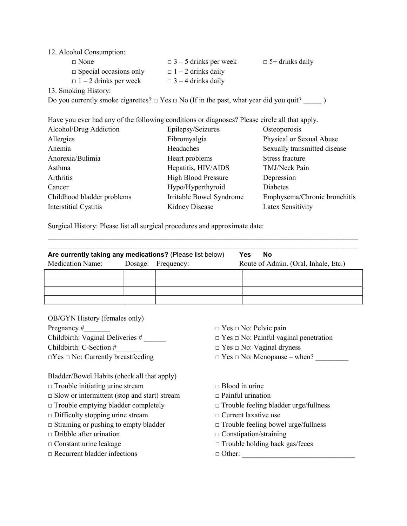## 12. Alcohol Consumption:

| $\Box$ None                                                                                      | $\Box$ 3 – 5 drinks per week | $\Box$ 5+ drinks daily |
|--------------------------------------------------------------------------------------------------|------------------------------|------------------------|
| $\Box$ Special occasions only                                                                    | $\Box$ 1 – 2 drinks daily    |                        |
| $\Box$ 1 – 2 drinks per week                                                                     | $\Box$ 3 – 4 drinks daily    |                        |
| 13. Smoking History:                                                                             |                              |                        |
| Do you currently smoke cigarettes? $\Box$ Yes $\Box$ No (If in the past, what year did you quit? |                              |                        |

Have you ever had any of the following conditions or diagnoses? Please circle all that apply.

| Alcohol/Drug Addiction     | Epilepsy/Seizures          | Osteoporosis                 |
|----------------------------|----------------------------|------------------------------|
| Allergies                  | Fibromyalgia               | Physical or Sexual Abuse     |
| Anemia                     | Headaches                  | Sexually transmitted disease |
| Anorexia/Bulimia           | Heart problems             | <b>Stress fracture</b>       |
| Asthma                     | Hepatitis, HIV/AIDS        | TMJ/Neck Pain                |
| Arthritis                  | <b>High Blood Pressure</b> | Depression                   |
| Cancer                     | Hypo/Hyperthyroid          | Diabetes                     |
| Childhood bladder problems | Irritable Bowel Syndrome   | Emphysema/Chronic bronchitis |
| Interstitial Cystitis      | <b>Kidney Disease</b>      | Latex Sensitivity            |
|                            |                            |                              |

Surgical History: Please list all surgical procedures and approximate date:

| Are currently taking any medications? (Please list below) |  | <b>Yes</b><br>No   |                                      |
|-----------------------------------------------------------|--|--------------------|--------------------------------------|
| <b>Medication Name:</b>                                   |  | Dosage: Frequency: | Route of Admin. (Oral, Inhale, Etc.) |
|                                                           |  |                    |                                      |
|                                                           |  |                    |                                      |
|                                                           |  |                    |                                      |
|                                                           |  |                    |                                      |

 $\mathcal{L}_\text{max} = \mathcal{L}_\text{max} = \mathcal{L}_\text{max} = \mathcal{L}_\text{max} = \mathcal{L}_\text{max} = \mathcal{L}_\text{max} = \mathcal{L}_\text{max} = \mathcal{L}_\text{max} = \mathcal{L}_\text{max} = \mathcal{L}_\text{max} = \mathcal{L}_\text{max} = \mathcal{L}_\text{max} = \mathcal{L}_\text{max} = \mathcal{L}_\text{max} = \mathcal{L}_\text{max} = \mathcal{L}_\text{max} = \mathcal{L}_\text{max} = \mathcal{L}_\text{max} = \mathcal{$ 

OB/GYN History (females only) Pregnancy #  $\Box$  Yes  $\Box$  No: Pelvic pain Childbirth: C-Section #  $\Box$  Yes  $\Box$  No: Vaginal dryness

Bladder/Bowel Habits (check all that apply)

- □ Trouble initiating urine stream □ Blood in urine
- $\Box$  Slow or intermittent (stop and start) stream  $\Box$  Painful urination
- 
- □ Difficulty stopping urine stream □ □ Current laxative use
- 
- □ Dribble after urination □ Constipation/straining
- 
- $\Box$  Recurrent bladder infections  $\Box$  Other:
- 
- Childbirth: Vaginal Deliveries #  $\Box$  Yes  $\Box$  No: Painful vaginal penetration
	-
- $\square$  Yes  $\square$  No: Currently breastfeeding  $\square$  Yes  $\square$  No: Menopause when?
	-
	-
- □ Trouble emptying bladder completely □ Trouble feeling bladder urge/fullness
	-
- □ Straining or pushing to empty bladder □ Trouble feeling bowel urge/fullness
	-
- □ Constant urine leakage □ Trouble holding back gas/feces
	-